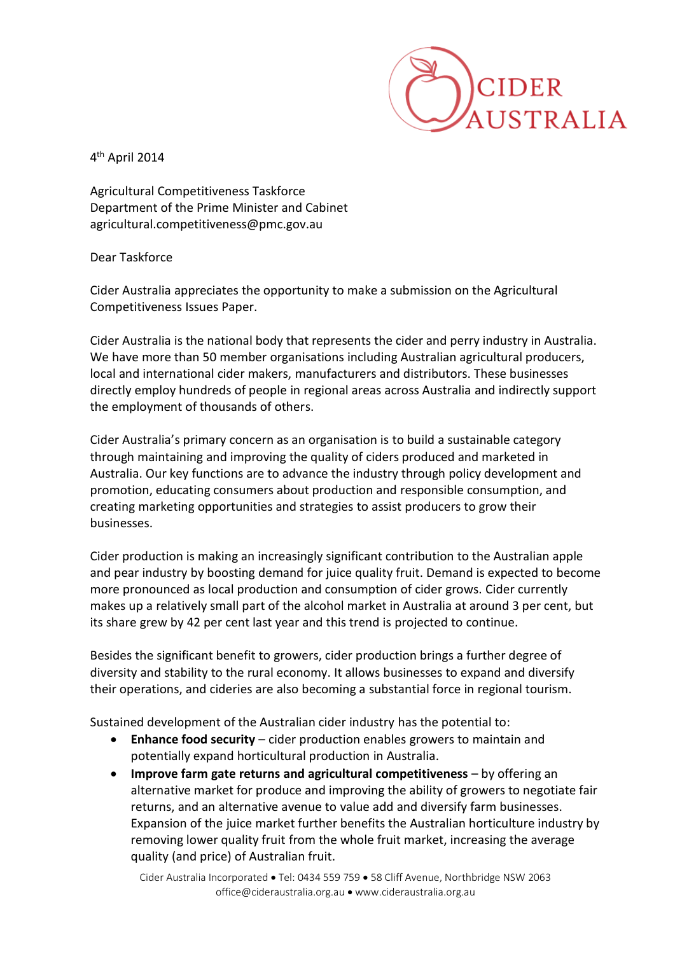

4 th April 2014

Agricultural Competitiveness Taskforce Department of the Prime Minister and Cabinet agricultural.competitiveness@pmc.gov.au

Dear Taskforce

Cider Australia appreciates the opportunity to make a submission on the Agricultural Competitiveness Issues Paper.

Cider Australia is the national body that represents the cider and perry industry in Australia. We have more than 50 member organisations including Australian agricultural producers, local and international cider makers, manufacturers and distributors. These businesses directly employ hundreds of people in regional areas across Australia and indirectly support the employment of thousands of others.

Cider Australia's primary concern as an organisation is to build a sustainable category through maintaining and improving the quality of ciders produced and marketed in Australia. Our key functions are to advance the industry through policy development and promotion, educating consumers about production and responsible consumption, and creating marketing opportunities and strategies to assist producers to grow their businesses.

Cider production is making an increasingly significant contribution to the Australian apple and pear industry by boosting demand for juice quality fruit. Demand is expected to become more pronounced as local production and consumption of cider grows. Cider currently makes up a relatively small part of the alcohol market in Australia at around 3 per cent, but its share grew by 42 per cent last year and this trend is projected to continue.

Besides the significant benefit to growers, cider production brings a further degree of diversity and stability to the rural economy. It allows businesses to expand and diversify their operations, and cideries are also becoming a substantial force in regional tourism.

Sustained development of the Australian cider industry has the potential to:

- **Enhance food security** cider production enables growers to maintain and potentially expand horticultural production in Australia.
- **Improve farm gate returns and agricultural competitiveness**  by offering an alternative market for produce and improving the ability of growers to negotiate fair returns, and an alternative avenue to value add and diversify farm businesses. Expansion of the juice market further benefits the Australian horticulture industry by removing lower quality fruit from the whole fruit market, increasing the average quality (and price) of Australian fruit.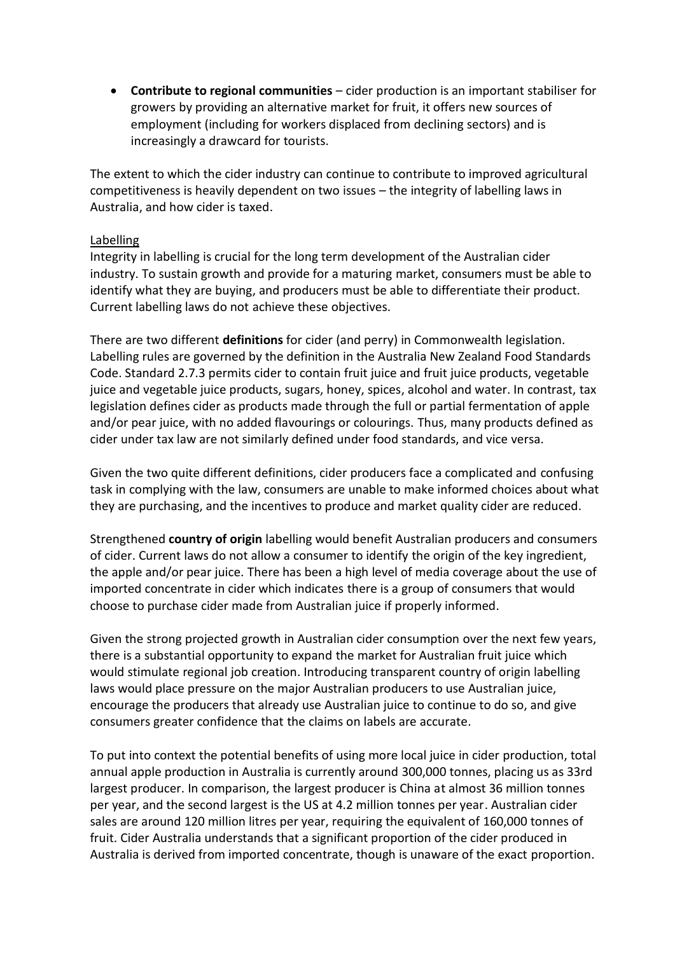**Contribute to regional communities** – cider production is an important stabiliser for growers by providing an alternative market for fruit, it offers new sources of employment (including for workers displaced from declining sectors) and is increasingly a drawcard for tourists.

The extent to which the cider industry can continue to contribute to improved agricultural competitiveness is heavily dependent on two issues – the integrity of labelling laws in Australia, and how cider is taxed.

## Labelling

Integrity in labelling is crucial for the long term development of the Australian cider industry. To sustain growth and provide for a maturing market, consumers must be able to identify what they are buying, and producers must be able to differentiate their product. Current labelling laws do not achieve these objectives.

There are two different **definitions** for cider (and perry) in Commonwealth legislation. Labelling rules are governed by the definition in the Australia New Zealand Food Standards Code. Standard 2.7.3 permits cider to contain fruit juice and fruit juice products, vegetable juice and vegetable juice products, sugars, honey, spices, alcohol and water. In contrast, tax legislation defines cider as products made through the full or partial fermentation of apple and/or pear juice, with no added flavourings or colourings. Thus, many products defined as cider under tax law are not similarly defined under food standards, and vice versa.

Given the two quite different definitions, cider producers face a complicated and confusing task in complying with the law, consumers are unable to make informed choices about what they are purchasing, and the incentives to produce and market quality cider are reduced.

Strengthened **country of origin** labelling would benefit Australian producers and consumers of cider. Current laws do not allow a consumer to identify the origin of the key ingredient, the apple and/or pear juice. There has been a high level of media coverage about the use of imported concentrate in cider which indicates there is a group of consumers that would choose to purchase cider made from Australian juice if properly informed.

Given the strong projected growth in Australian cider consumption over the next few years, there is a substantial opportunity to expand the market for Australian fruit juice which would stimulate regional job creation. Introducing transparent country of origin labelling laws would place pressure on the major Australian producers to use Australian juice, encourage the producers that already use Australian juice to continue to do so, and give consumers greater confidence that the claims on labels are accurate.

To put into context the potential benefits of using more local juice in cider production, total annual apple production in Australia is currently around 300,000 tonnes, placing us as 33rd largest producer. In comparison, the largest producer is China at almost 36 million tonnes per year, and the second largest is the US at 4.2 million tonnes per year. Australian cider sales are around 120 million litres per year, requiring the equivalent of 160,000 tonnes of fruit. Cider Australia understands that a significant proportion of the cider produced in Australia is derived from imported concentrate, though is unaware of the exact proportion.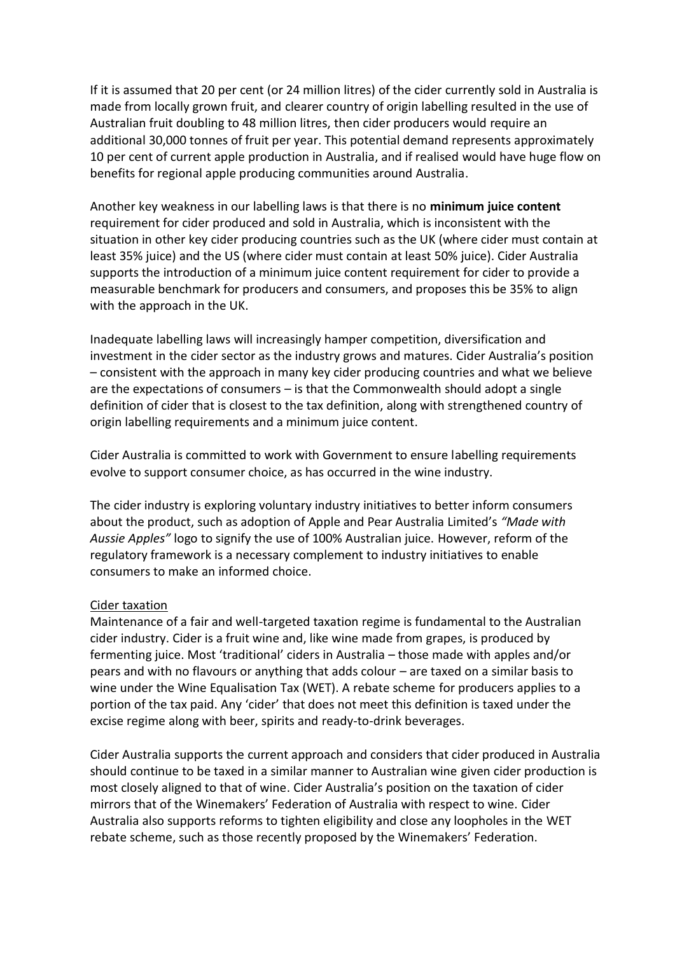If it is assumed that 20 per cent (or 24 million litres) of the cider currently sold in Australia is made from locally grown fruit, and clearer country of origin labelling resulted in the use of Australian fruit doubling to 48 million litres, then cider producers would require an additional 30,000 tonnes of fruit per year. This potential demand represents approximately 10 per cent of current apple production in Australia, and if realised would have huge flow on benefits for regional apple producing communities around Australia.

Another key weakness in our labelling laws is that there is no **minimum juice content** requirement for cider produced and sold in Australia, which is inconsistent with the situation in other key cider producing countries such as the UK (where cider must contain at least 35% juice) and the US (where cider must contain at least 50% juice). Cider Australia supports the introduction of a minimum juice content requirement for cider to provide a measurable benchmark for producers and consumers, and proposes this be 35% to align with the approach in the UK.

Inadequate labelling laws will increasingly hamper competition, diversification and investment in the cider sector as the industry grows and matures. Cider Australia's position – consistent with the approach in many key cider producing countries and what we believe are the expectations of consumers – is that the Commonwealth should adopt a single definition of cider that is closest to the tax definition, along with strengthened country of origin labelling requirements and a minimum juice content.

Cider Australia is committed to work with Government to ensure labelling requirements evolve to support consumer choice, as has occurred in the wine industry.

The cider industry is exploring voluntary industry initiatives to better inform consumers about the product, such as adoption of Apple and Pear Australia Limited's *"Made with Aussie Apples"* logo to signify the use of 100% Australian juice. However, reform of the regulatory framework is a necessary complement to industry initiatives to enable consumers to make an informed choice.

## Cider taxation

Maintenance of a fair and well-targeted taxation regime is fundamental to the Australian cider industry. Cider is a fruit wine and, like wine made from grapes, is produced by fermenting juice. Most 'traditional' ciders in Australia – those made with apples and/or pears and with no flavours or anything that adds colour – are taxed on a similar basis to wine under the Wine Equalisation Tax (WET). A rebate scheme for producers applies to a portion of the tax paid. Any 'cider' that does not meet this definition is taxed under the excise regime along with beer, spirits and ready-to-drink beverages.

Cider Australia supports the current approach and considers that cider produced in Australia should continue to be taxed in a similar manner to Australian wine given cider production is most closely aligned to that of wine. Cider Australia's position on the taxation of cider mirrors that of the Winemakers' Federation of Australia with respect to wine. Cider Australia also supports reforms to tighten eligibility and close any loopholes in the WET rebate scheme, such as those recently proposed by the Winemakers' Federation.